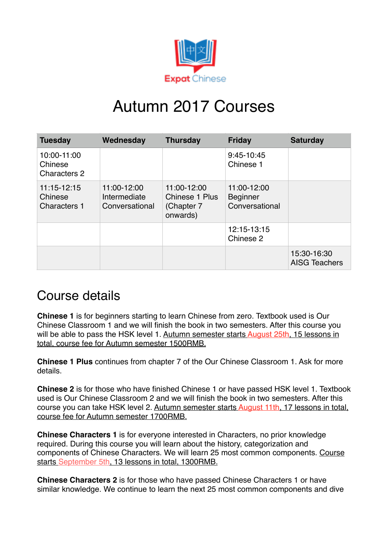

## Autumn 2017 Courses

| <b>Tuesday</b>                                | Wednesday                                     | <b>Thursday</b>                                         | <b>Friday</b>                                    | <b>Saturday</b>                     |
|-----------------------------------------------|-----------------------------------------------|---------------------------------------------------------|--------------------------------------------------|-------------------------------------|
| 10:00-11:00<br>Chinese<br><b>Characters 2</b> |                                               |                                                         | 9:45-10:45<br>Chinese 1                          |                                     |
| 11:15-12:15<br>Chinese<br><b>Characters 1</b> | 11:00-12:00<br>Intermediate<br>Conversational | 11:00-12:00<br>Chinese 1 Plus<br>(Chapter 7<br>onwards) | 11:00-12:00<br><b>Beginner</b><br>Conversational |                                     |
|                                               |                                               |                                                         | 12:15-13:15<br>Chinese 2                         |                                     |
|                                               |                                               |                                                         |                                                  | 15:30-16:30<br><b>AISG Teachers</b> |

## Course details

**Chinese 1** is for beginners starting to learn Chinese from zero. Textbook used is Our Chinese Classroom 1 and we will finish the book in two semesters. After this course you will be able to pass the HSK level 1. Autumn semester starts August 25th, 15 lessons in total, course fee for Autumn semester 1500RMB.

**Chinese 1 Plus** continues from chapter 7 of the Our Chinese Classroom 1. Ask for more details.

**Chinese 2** is for those who have finished Chinese 1 or have passed HSK level 1. Textbook used is Our Chinese Classroom 2 and we will finish the book in two semesters. After this course you can take HSK level 2. Autumn semester starts August 11th, 17 lessons in total, course fee for Autumn semester 1700RMB.

**Chinese Characters 1** is for everyone interested in Characters, no prior knowledge required. During this course you will learn about the history, categorization and components of Chinese Characters. We will learn 25 most common components. Course starts September 5th, 13 lessons in total, 1300RMB.

**Chinese Characters 2** is for those who have passed Chinese Characters 1 or have similar knowledge. We continue to learn the next 25 most common components and dive